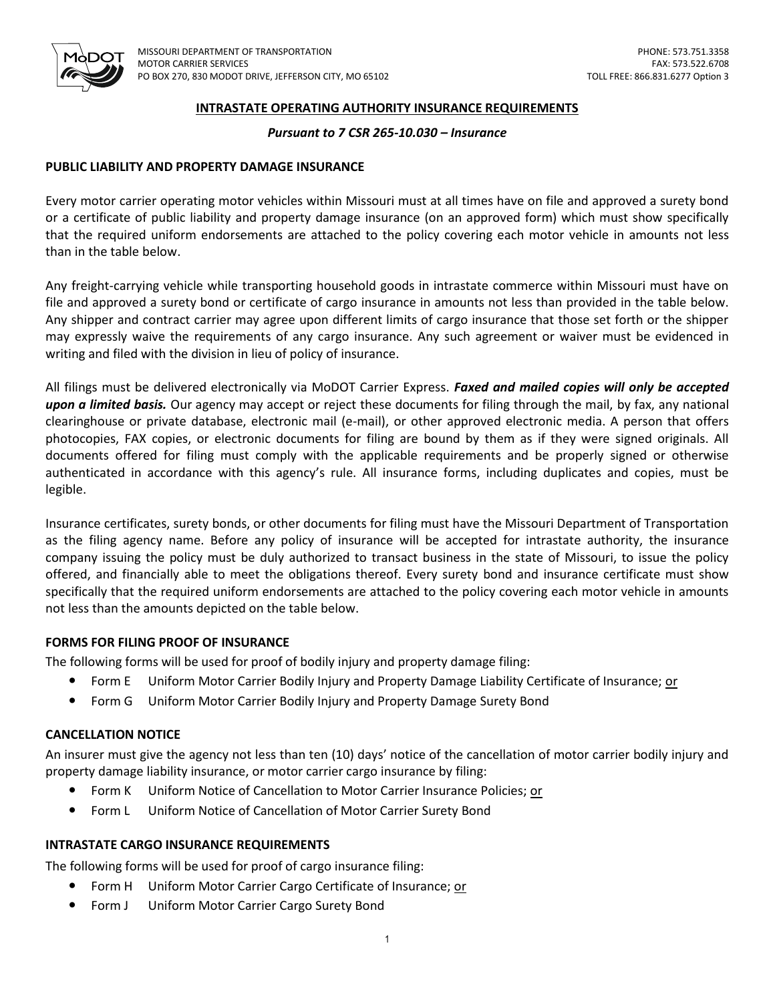

#### **INTRASTATE OPERATING AUTHORITY INSURANCE REQUIREMENTS**

## *Pursuant to 7 CSR 265-10.030 – Insurance*

## **PUBLIC LIABILITY AND PROPERTY DAMAGE INSURANCE**

 Every motor carrier operating motor vehicles within Missouri must at all times have on file and approved a surety bond or a certificate of public liability and property damage insurance (on an approved form) which must show specifically that the required uniform endorsements are attached to the policy covering each motor vehicle in amounts not less than in the table below.

 Any freight-carrying vehicle while transporting household goods in intrastate commerce within Missouri must have on file and approved a surety bond or certificate of cargo insurance in amounts not less than provided in the table below. Any shipper and contract carrier may agree upon different limits of cargo insurance that those set forth or the shipper may expressly waive the requirements of any cargo insurance. Any such agreement or waiver must be evidenced in writing and filed with the division in lieu of policy of insurance.

 All filings must be delivered electronically via MoDOT Carrier Express. *Faxed and mailed copies will only be accepted*  upon a limited basis. Our agency may accept or reject these documents for filing through the mail, by fax, any national clearinghouse or private database, electronic mail (e-mail), or other approved electronic media. A person that offers photocopies, FAX copies, or electronic documents for filing are bound by them as if they were signed originals. All documents offered for filing must comply with the applicable requirements and be properly signed or otherwise authenticated in accordance with this agency's rule. All insurance forms, including duplicates and copies, must be legible.

 Insurance certificates, surety bonds, or other documents for filing must have the Missouri Department of Transportation as the filing agency name. Before any policy of insurance will be accepted for intrastate authority, the insurance company issuing the policy must be duly authorized to transact business in the state of Missouri, to issue the policy offered, and financially able to meet the obligations thereof. Every surety bond and insurance certificate must show specifically that the required uniform endorsements are attached to the policy covering each motor vehicle in amounts not less than the amounts depicted on the table below.

# **FORMS FOR FILING PROOF OF INSURANCE**

The following forms will be used for proof of bodily injury and property damage filing:

- Form E Uniform Motor Carrier Bodily Injury and Property Damage Liability Certificate of Insurance; or
- **•** Form G Uniform Motor Carrier Bodily Injury and Property Damage Surety Bond

## **CANCELLATION NOTICE**

 An insurer must give the agency not less than ten (10) days' notice of the cancellation of motor carrier bodily injury and property damage liability insurance, or motor carrier cargo insurance by filing:

- Form K Uniform Notice of Cancellation to Motor Carrier Insurance Policies; or
- $\bullet$ Form L Uniform Notice of Cancellation of Motor Carrier Surety Bond

#### **INTRASTATE CARGO INSURANCE REQUIREMENTS**

The following forms will be used for proof of cargo insurance filing:

- $\bullet$ Form H Uniform Motor Carrier Cargo Certificate of Insurance; or
- Form J Uniform Motor Carrier Cargo Surety Bond